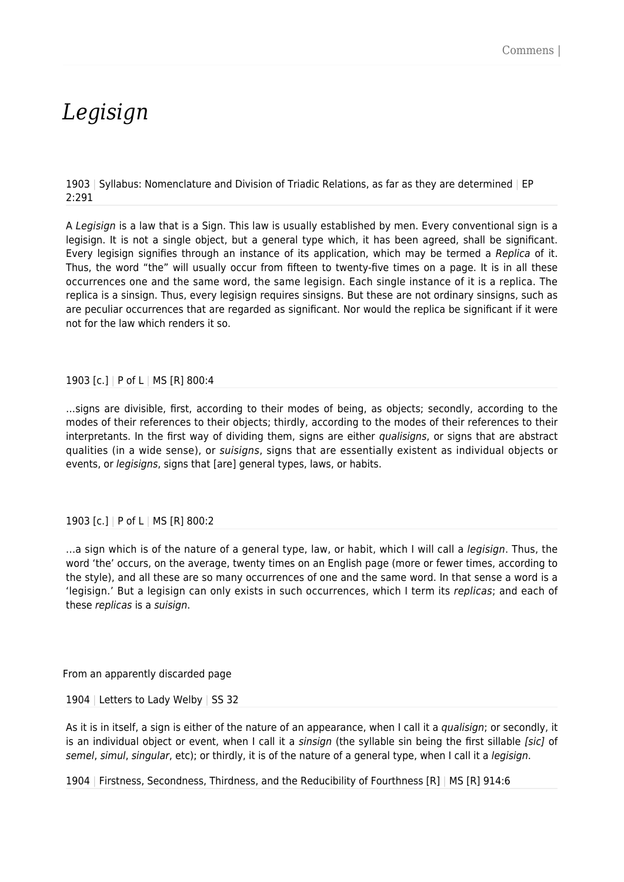## *Legisign*

1903 | Syllabus: Nomenclature and Division of Triadic Relations, as far as they are determined | EP 2:291

A Legisian is a law that is a Sign. This law is usually established by men. Every conventional sign is a legisign. It is not a single object, but a general type which, it has been agreed, shall be significant. Every legisign signifies through an instance of its application, which may be termed a Replica of it. Thus, the word "the" will usually occur from fifteen to twenty-five times on a page. It is in all these occurrences one and the same word, the same legisign. Each single instance of it is a replica. The replica is a sinsign. Thus, every legisign requires sinsigns. But these are not ordinary sinsigns, such as are peculiar occurrences that are regarded as significant. Nor would the replica be significant if it were not for the law which renders it so.

## 1903 [c.] | P of L | MS [R] 800:4

…signs are divisible, first, according to their modes of being, as objects; secondly, according to the modes of their references to their objects; thirdly, according to the modes of their references to their interpretants. In the first way of dividing them, signs are either qualisigns, or signs that are abstract qualities (in a wide sense), or suisigns, signs that are essentially existent as individual objects or events, or legisigns, signs that [are] general types, laws, or habits.

## 1903 [c.] | P of L | MS [R] 800:2

...a sign which is of the nature of a general type, law, or habit, which I will call a legisign. Thus, the word 'the' occurs, on the average, twenty times on an English page (more or fewer times, according to the style), and all these are so many occurrences of one and the same word. In that sense a word is a 'legisign.' But a legisign can only exists in such occurrences, which I term its replicas; and each of these replicas is a suisign.

From an apparently discarded page

1904 | Letters to Lady Welby | SS 32

As it is in itself, a sign is either of the nature of an appearance, when I call it a qualisign; or secondly, it is an individual object or event, when I call it a sinsign (the syllable sin being the first sillable [sic] of semel, simul, singular, etc); or thirdly, it is of the nature of a general type, when I call it a legisign.

1904 | Firstness, Secondness, Thirdness, and the Reducibility of Fourthness [R] | MS [R] 914:6